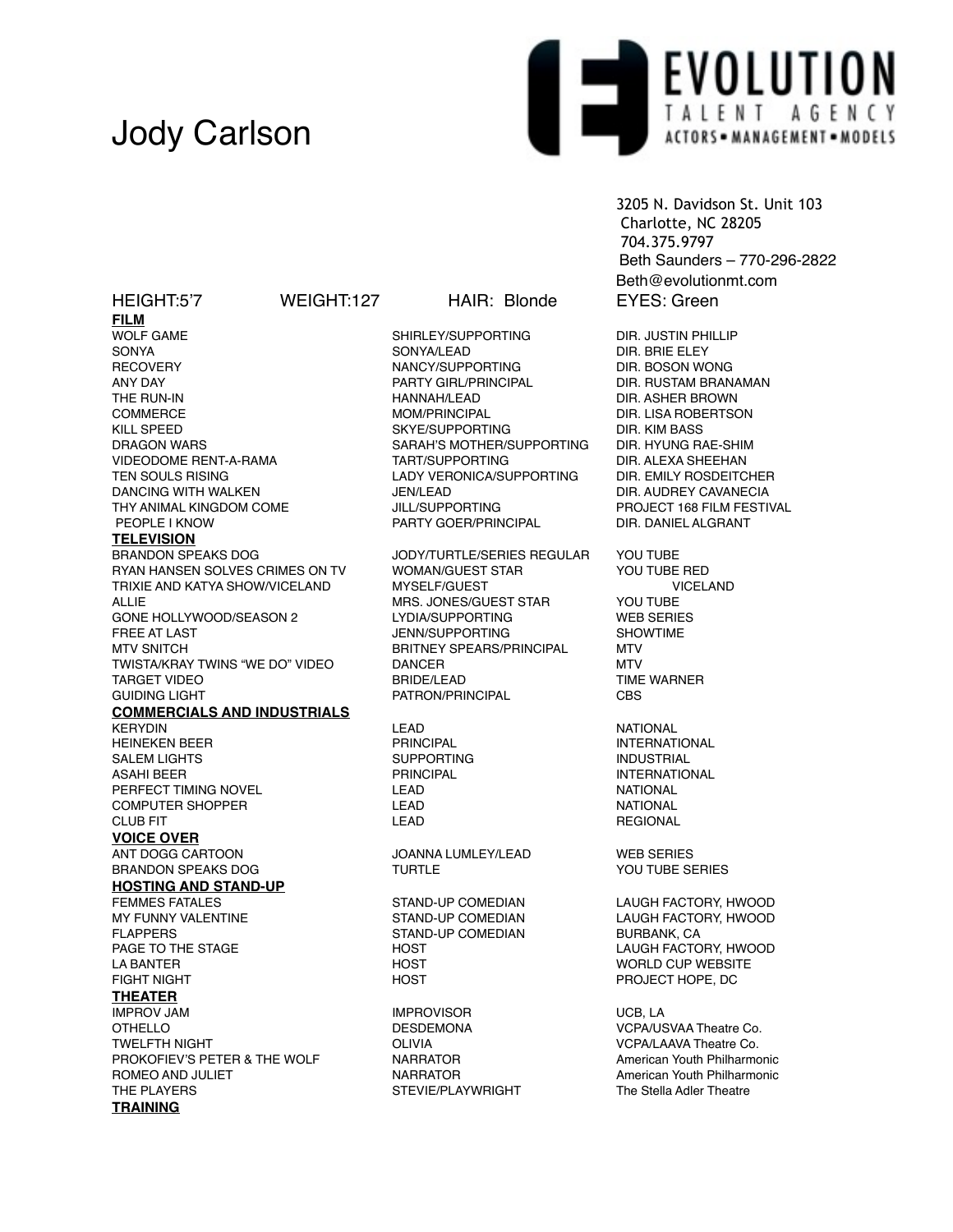## Jody Carlson



3205 N. Davidson St. Unit 103 Charlotte, NC 28205 704.375.9797 Beth Saunders – 770-296-2822 Beth@evolutionmt.com HEIGHT:5'7 WEIGHT:127 HAIR: Blonde EYES: Green

DIR. RUSTAM BRANAMAN

**PAGE TO THE STAGE TO THE STAGE TO THE STAGE TO THE STAGE TO THE STAGE TO THE STAGE TO THE STAGE TO THE STAGE T** 

VCPA/USVAA Theatre Co.

**FILM**<br>WOLF GAME WOLF GAME SHIRLEY/SUPPORTING DIR. JUSTIN PHILLIP RECOVERY NANCY/SUPPORTING DIR. BOSON WONG THE RUN-IN GENERAL BROWN HANNAH/LEAD CHE CONFIDENTIAL DIR. ASHER BROWN COMMERCE MOM/PRINCIPAL DIR. LISA ROBERTSON KILL SPEED SKYE/SUPPORTING DIR. KIM BASS VIDEODOME RENT-A-RAMA TART/SUPPORTING DIR. ALEXA SHEEHAN TEN SOULS RISING LADY VERONICA/SUPPORTING DIR. EMILY ROSDEITCHER DANCING WITH WALKEN **DIRELL SEE ALL AUDREY CAVANECIA** JEN/LEAD **DIRELL DIRELL DIRELL ON AUDREY CAVANECIA** THY ANIMAL KINGDOM COME THE JILL/SUPPORTING FILM PROJECT 168 FILM FESTIVAL<br>PEOPLE I KNOW PARTY GOER/PRINCIPAL DIR. DANIEL ALGRANT **TELEVISION** RYAN HANSEN SOLVES CRIMES ON TV WOMAN/GUEST STAR YOU TUBE RED TRIXIE AND KATYA SHOW/VICELAND MYSELF/GUEST VICELAND ALLIE MRS. JONES/GUEST STAR YOU TUBE GONE HOLLYWOOD/SEASON 2 FREE AT LAST JENN/SUPPORTING SHOWTIME TWISTA/KRAY TWINS "WE DO" VIDEO DANCER DANCE BELLEMENT WAT WELL TARGET VIDEO BRIDE/LEAD TIME WARNER GUIDING LIGHT **EXAMPLE A TABLE 1999** PATRON/PRINCIPAL **COMMERCIALS AND INDUSTRIALS** KERYDIN LEAD NATIONAL HEINEKEN BEER GERAARTIONAL EINE PRINCIPAL EINE EINTERNATIONAL SALEM LIGHTS **SUPPORTING** SUPPORTING **INDUSTRIAL** ASAHI BEER PRINCIPAL INTERNATIONAL PERFECT TIMING NOVEL COMPUTER SHOPPER LEAD NATIONAL CLUB FIT **A REGIONAL SEXUAL SEXUAL CLUB FIT VOICE OVER** BRANDON SPEAKS DOG TURTLE THE TURTLE TO A SERIES **HOSTING AND STAND-UP** FEMMES FATALES STAND-UP COMEDIAN LAUGH FACTORY, HWOOD MY FUNNY VALENTINE STAND-UP COMEDIAN LAUGH FACTORY, HWOOD FLAPPERS STAND-UP COMEDIAN BURBANK, CA LA BANTER THE RESERVE OF THE RESERVED ON THE RESERVED ON THE RESERVED ON THE RESERVED ON THE RESERVED ON THE R FIGHT NIGHT **HOST** HOST **PROJECT HOPE, DC THEATER** IMPROV JAM IMPROVISOR UCB, LA TWELFTH NIGHT OLIVIA VCPA/LAAVA Theatre Co. PROKOFIEV'S PETER & THE WOLF ROMEO AND JULIET **NARRATOR** NARRATOR **American Youth Philharmonic** THE PLAYERS **STEVIE/PLAYWRIGHT** The Stella Adler Theatre **TRAINING**

SONYA/LEAD DIR. BRIE ELEY SARAH'S MOTHER/SUPPORTING PARTY GOER/PRINCIPAL

**JODY/TURTLE/SERIES REGULAR YOU TUBE<br>WOMAN/GUEST STAR YOU TUBE** BRITNEY SPEARS/PRINCIPAL

JOANNA LUMLEY/LEAD WEB SERIES